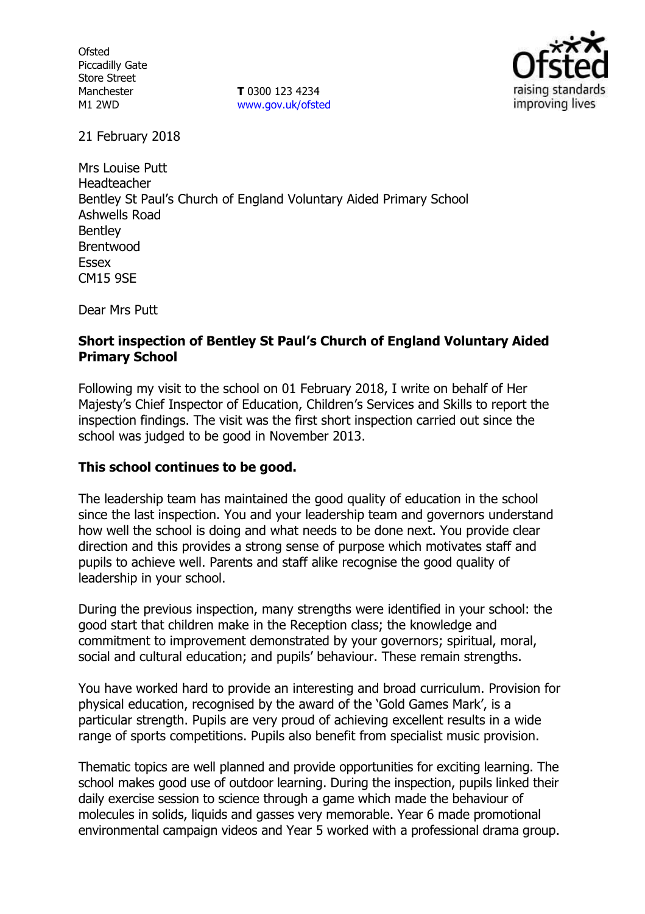**Ofsted** Piccadilly Gate Store Street Manchester M1 2WD

**T** 0300 123 4234 www.gov.uk/ofsted



21 February 2018

Mrs Louise Putt Headteacher Bentley St Paul's Church of England Voluntary Aided Primary School Ashwells Road Bentley Brentwood Essex CM15 9SE

Dear Mrs Putt

## **Short inspection of Bentley St Paul's Church of England Voluntary Aided Primary School**

Following my visit to the school on 01 February 2018, I write on behalf of Her Majesty's Chief Inspector of Education, Children's Services and Skills to report the inspection findings. The visit was the first short inspection carried out since the school was judged to be good in November 2013.

# **This school continues to be good.**

The leadership team has maintained the good quality of education in the school since the last inspection. You and your leadership team and governors understand how well the school is doing and what needs to be done next. You provide clear direction and this provides a strong sense of purpose which motivates staff and pupils to achieve well. Parents and staff alike recognise the good quality of leadership in your school.

During the previous inspection, many strengths were identified in your school: the good start that children make in the Reception class; the knowledge and commitment to improvement demonstrated by your governors; spiritual, moral, social and cultural education; and pupils' behaviour. These remain strengths.

You have worked hard to provide an interesting and broad curriculum. Provision for physical education, recognised by the award of the 'Gold Games Mark', is a particular strength. Pupils are very proud of achieving excellent results in a wide range of sports competitions. Pupils also benefit from specialist music provision.

Thematic topics are well planned and provide opportunities for exciting learning. The school makes good use of outdoor learning. During the inspection, pupils linked their daily exercise session to science through a game which made the behaviour of molecules in solids, liquids and gasses very memorable. Year 6 made promotional environmental campaign videos and Year 5 worked with a professional drama group.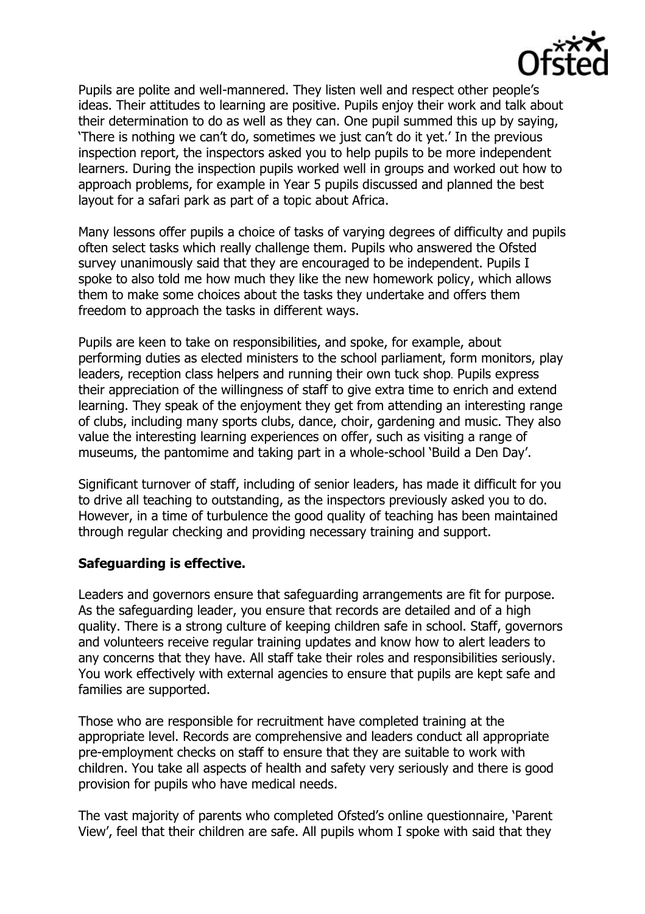

Pupils are polite and well-mannered. They listen well and respect other people's ideas. Their attitudes to learning are positive. Pupils enjoy their work and talk about their determination to do as well as they can. One pupil summed this up by saying, 'There is nothing we can't do, sometimes we just can't do it yet.' In the previous inspection report, the inspectors asked you to help pupils to be more independent learners. During the inspection pupils worked well in groups and worked out how to approach problems, for example in Year 5 pupils discussed and planned the best layout for a safari park as part of a topic about Africa.

Many lessons offer pupils a choice of tasks of varying degrees of difficulty and pupils often select tasks which really challenge them. Pupils who answered the Ofsted survey unanimously said that they are encouraged to be independent. Pupils I spoke to also told me how much they like the new homework policy, which allows them to make some choices about the tasks they undertake and offers them freedom to approach the tasks in different ways.

Pupils are keen to take on responsibilities, and spoke, for example, about performing duties as elected ministers to the school parliament, form monitors, play leaders, reception class helpers and running their own tuck shop. Pupils express their appreciation of the willingness of staff to give extra time to enrich and extend learning. They speak of the enjoyment they get from attending an interesting range of clubs, including many sports clubs, dance, choir, gardening and music. They also value the interesting learning experiences on offer, such as visiting a range of museums, the pantomime and taking part in a whole-school 'Build a Den Day'.

Significant turnover of staff, including of senior leaders, has made it difficult for you to drive all teaching to outstanding, as the inspectors previously asked you to do. However, in a time of turbulence the good quality of teaching has been maintained through regular checking and providing necessary training and support.

## **Safeguarding is effective.**

Leaders and governors ensure that safeguarding arrangements are fit for purpose. As the safeguarding leader, you ensure that records are detailed and of a high quality. There is a strong culture of keeping children safe in school. Staff, governors and volunteers receive regular training updates and know how to alert leaders to any concerns that they have. All staff take their roles and responsibilities seriously. You work effectively with external agencies to ensure that pupils are kept safe and families are supported.

Those who are responsible for recruitment have completed training at the appropriate level. Records are comprehensive and leaders conduct all appropriate pre-employment checks on staff to ensure that they are suitable to work with children. You take all aspects of health and safety very seriously and there is good provision for pupils who have medical needs.

The vast majority of parents who completed Ofsted's online questionnaire, 'Parent View', feel that their children are safe. All pupils whom I spoke with said that they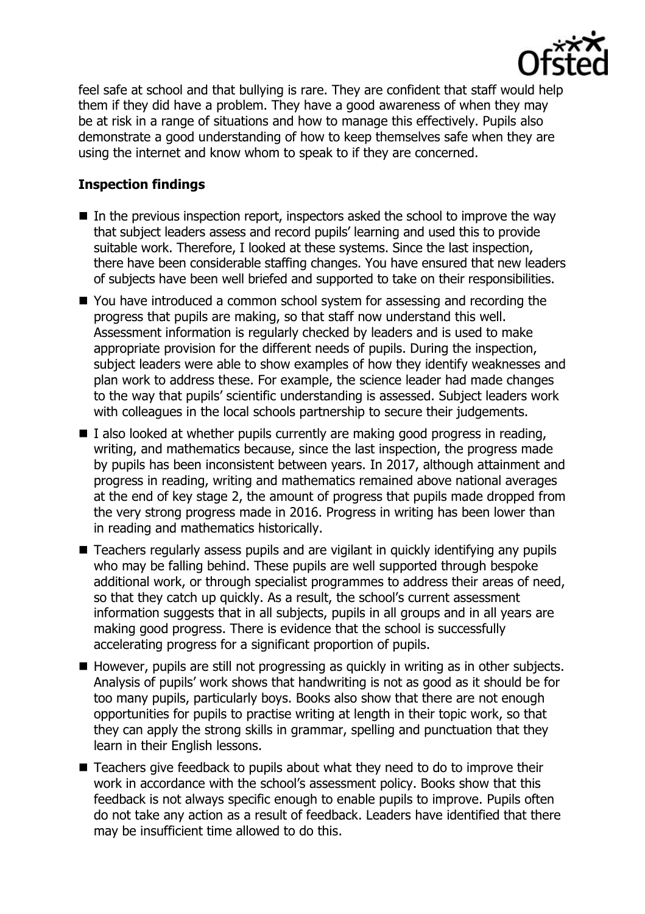

feel safe at school and that bullying is rare. They are confident that staff would help them if they did have a problem. They have a good awareness of when they may be at risk in a range of situations and how to manage this effectively. Pupils also demonstrate a good understanding of how to keep themselves safe when they are using the internet and know whom to speak to if they are concerned.

## **Inspection findings**

- $\blacksquare$  In the previous inspection report, inspectors asked the school to improve the way that subject leaders assess and record pupils' learning and used this to provide suitable work. Therefore, I looked at these systems. Since the last inspection, there have been considerable staffing changes. You have ensured that new leaders of subjects have been well briefed and supported to take on their responsibilities.
- You have introduced a common school system for assessing and recording the progress that pupils are making, so that staff now understand this well. Assessment information is regularly checked by leaders and is used to make appropriate provision for the different needs of pupils. During the inspection, subject leaders were able to show examples of how they identify weaknesses and plan work to address these. For example, the science leader had made changes to the way that pupils' scientific understanding is assessed. Subject leaders work with colleagues in the local schools partnership to secure their judgements.
- $\blacksquare$  I also looked at whether pupils currently are making good progress in reading, writing, and mathematics because, since the last inspection, the progress made by pupils has been inconsistent between years. In 2017, although attainment and progress in reading, writing and mathematics remained above national averages at the end of key stage 2, the amount of progress that pupils made dropped from the very strong progress made in 2016. Progress in writing has been lower than in reading and mathematics historically.
- Teachers regularly assess pupils and are vigilant in guickly identifying any pupils who may be falling behind. These pupils are well supported through bespoke additional work, or through specialist programmes to address their areas of need, so that they catch up quickly. As a result, the school's current assessment information suggests that in all subjects, pupils in all groups and in all years are making good progress. There is evidence that the school is successfully accelerating progress for a significant proportion of pupils.
- However, pupils are still not progressing as quickly in writing as in other subjects. Analysis of pupils' work shows that handwriting is not as good as it should be for too many pupils, particularly boys. Books also show that there are not enough opportunities for pupils to practise writing at length in their topic work, so that they can apply the strong skills in grammar, spelling and punctuation that they learn in their English lessons.
- Teachers give feedback to pupils about what they need to do to improve their work in accordance with the school's assessment policy. Books show that this feedback is not always specific enough to enable pupils to improve. Pupils often do not take any action as a result of feedback. Leaders have identified that there may be insufficient time allowed to do this.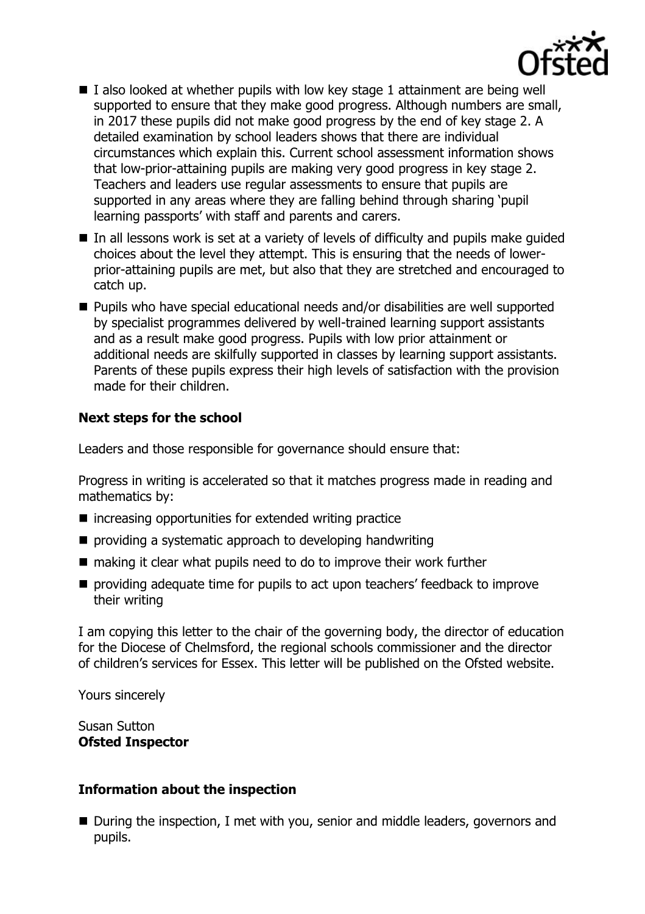

- $\blacksquare$  I also looked at whether pupils with low key stage 1 attainment are being well supported to ensure that they make good progress. Although numbers are small, in 2017 these pupils did not make good progress by the end of key stage 2. A detailed examination by school leaders shows that there are individual circumstances which explain this. Current school assessment information shows that low-prior-attaining pupils are making very good progress in key stage 2. Teachers and leaders use regular assessments to ensure that pupils are supported in any areas where they are falling behind through sharing 'pupil learning passports' with staff and parents and carers.
- In all lessons work is set at a variety of levels of difficulty and pupils make quided choices about the level they attempt. This is ensuring that the needs of lowerprior-attaining pupils are met, but also that they are stretched and encouraged to catch up.
- Pupils who have special educational needs and/or disabilities are well supported by specialist programmes delivered by well-trained learning support assistants and as a result make good progress. Pupils with low prior attainment or additional needs are skilfully supported in classes by learning support assistants. Parents of these pupils express their high levels of satisfaction with the provision made for their children.

# **Next steps for the school**

Leaders and those responsible for governance should ensure that:

Progress in writing is accelerated so that it matches progress made in reading and mathematics by:

- $\blacksquare$  increasing opportunities for extended writing practice
- **P** providing a systematic approach to developing handwriting
- $\blacksquare$  making it clear what pupils need to do to improve their work further
- **P** providing adequate time for pupils to act upon teachers' feedback to improve their writing

I am copying this letter to the chair of the governing body, the director of education for the Diocese of Chelmsford, the regional schools commissioner and the director of children's services for Essex. This letter will be published on the Ofsted website.

Yours sincerely

Susan Sutton **Ofsted Inspector**

#### **Information about the inspection**

■ During the inspection, I met with you, senior and middle leaders, governors and pupils.